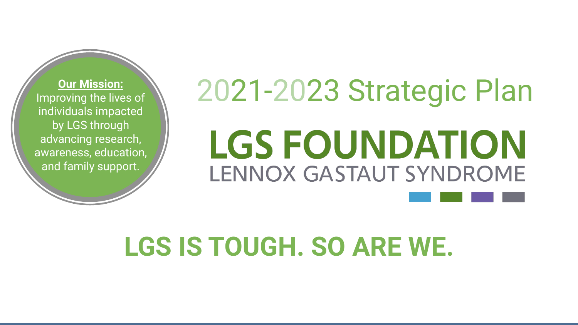Improving the lives of individuals impacted by LGS through advancing research, awareness, education, and family support.

# **<u>Our Mission:</u>**<br>roving the lives of  $\setminus$  2021-2023 Strategic Plan **LGS FOUNDATION** LENNOX GASTAUT SYNDROME

### **LGS IS TOUGH. SO ARE WE.**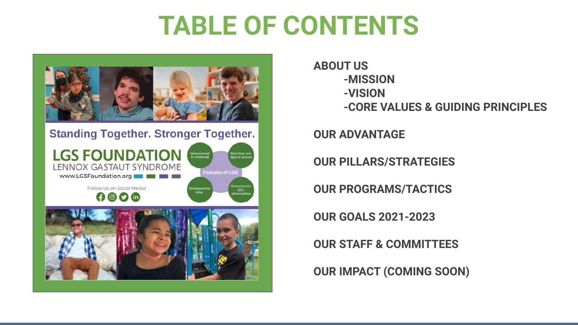#### **TABLE OF CONTENTS**



**ABOUT US -MISSION -VISION -CORE VALUES & GUIDING PRINCIPLES**

**OUR ADVANTAGE**

**OUR PILLARS/STRATEGIES** 

**OUR PROGRAMS/TACTICS**

**OUR GOALS 2021-2023**

**OUR STAFF & COMMITTEES**

**OUR IMPACT (COMING SOON)**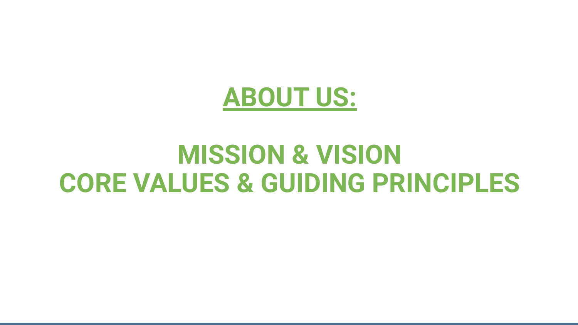

#### **MISSION & VISION CORE VALUES & GUIDING PRINCIPLES**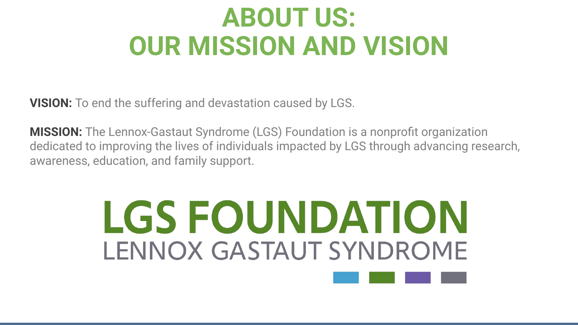## **ABOUT US: OUR MISSION AND VISION**

**VISION:** To end the suffering and devastation caused by LGS.

**MISSION:** The Lennox-Gastaut Syndrome (LGS) Foundation is a nonprofit organization dedicated to improving the lives of individuals impacted by LGS through advancing research, awareness, education, and family support.

## LGS FOUNDATION LENNOX GASTAUT SYNDROME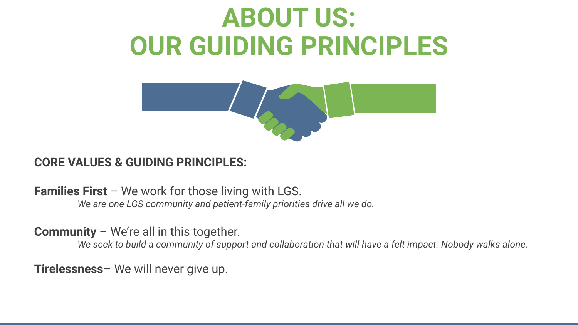## **ABOUT US: OUR GUIDING PRINCIPLES**



#### **CORE VALUES & GUIDING PRINCIPLES:**

**Families First** – We work for those living with LGS. *We are one LGS community and patient-family priorities drive all we do.*

**Community** – We're all in this together.

*We seek to build a community of support and collaboration that will have a felt impact. Nobody walks alone.*

**Tirelessness**– We will never give up.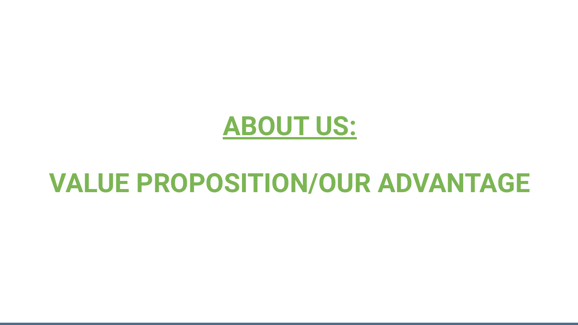

#### **VALUE PROPOSITION/OUR ADVANTAGE**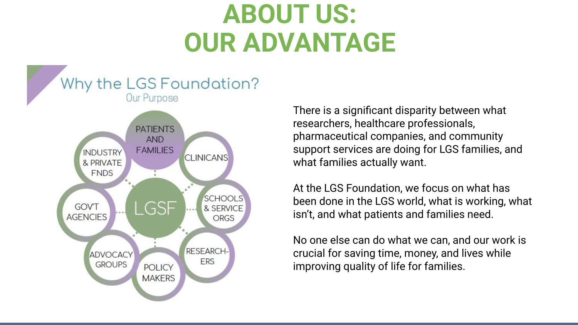## **ABOUT US: OUR ADVANTAGE**



There is a significant disparity between what researchers, healthcare professionals, pharmaceutical companies, and community support services are doing for LGS families, and what families actually want.

At the LGS Foundation, we focus on what has been done in the LGS world, what is working, what isn't, and what patients and families need.

No one else can do what we can, and our work is crucial for saving time, money, and lives while improving quality of life for families.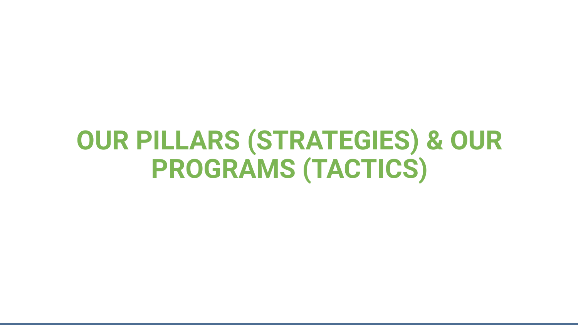## **OUR PILLARS (STRATEGIES) & OUR PROGRAMS (TACTICS)**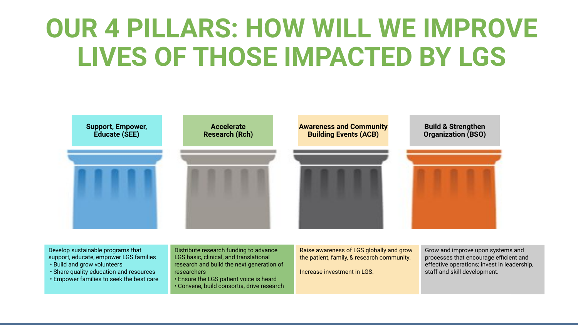## **OUR 4 PILLARS: HOW WILL WE IMPROVE LIVES OF THOSE IMPACTED BY LGS**



Develop sustainable programs that support, educate, empower LGS families

- Build and grow volunteers
- Share quality education and resources
- Empower families to seek the best care

Distribute research funding to advance LGS basic, clinical, and translational research and build the next generation of researchers

• Ensure the LGS patient voice is heard • Convene, build consortia, drive research

Raise awareness of LGS globally and grow the patient, family, & research community.

Increase investment in LGS.

Grow and improve upon systems and processes that encourage efficient and effective operations; invest in leadership, staff and skill development.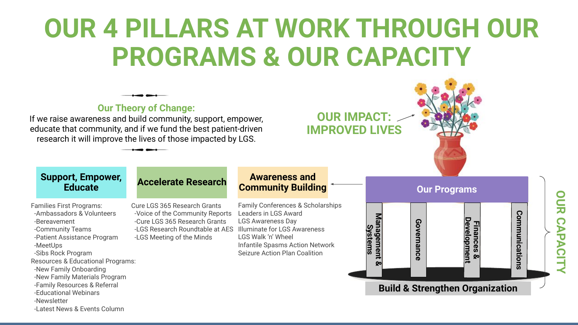## **OUR 4 PILLARS AT WORK THROUGH OUR PROGRAMS & OUR CAPACITY**



-Newsletter

#### -Latest News & Events Column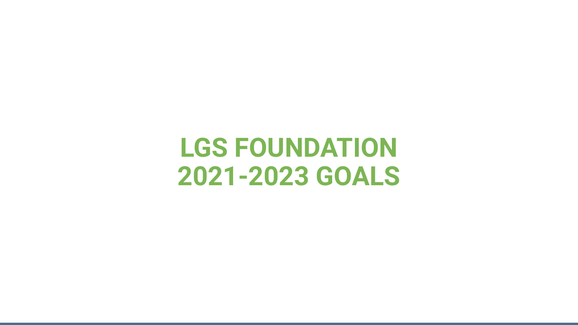#### **LGS FOUNDATION 2021-2023 GOALS**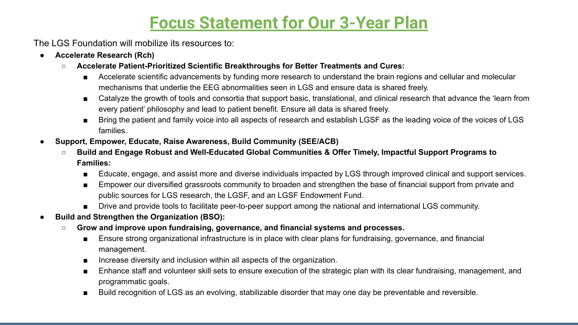#### **Focus Statement for Our 3-Year Plan**

The LGS Foundation will mobilize its resources to:

- **● Accelerate Research (Rch)**
	- **○ Accelerate Patient-Prioritized Scientific Breakthroughs for Better Treatments and Cures:** 
		- Accelerate scientific advancements by funding more research to understand the brain regions and cellular and molecular mechanisms that underlie the EEG abnormalities seen in LGS and ensure data is shared freely.
		- Catalyze the growth of tools and consortia that support basic, translational, and clinical research that advance the 'learn from every patient' philosophy and lead to patient benefit. Ensure all data is shared freely.
		- Bring the patient and family voice into all aspects of research and establish LGSF as the leading voice of the voices of LGS families.
- **● Support, Empower, Educate, Raise Awareness, Build Community (SEE/ACB)**
	- **○ Build and Engage Robust and Well-Educated Global Communities & Offer Timely, Impactful Support Programs to Families:**
		- Educate, engage, and assist more and diverse individuals impacted by LGS through improved clinical and support services.
		- Empower our diversified grassroots community to broaden and strengthen the base of financial support from private and public sources for LGS research, the LGSF, and an LGSF Endowment Fund.
		- Drive and provide tools to facilitate peer-to-peer support among the national and international LGS community.
- **● Build and Strengthen the Organization (BSO):** 
	- **○ Grow and improve upon fundraising, governance, and financial systems and processes.**
		- Ensure strong organizational infrastructure is in place with clear plans for fundraising, governance, and financial management.
		- Increase diversity and inclusion within all aspects of the organization.
		- Enhance staff and volunteer skill sets to ensure execution of the strategic plan with its clear fundraising, management, and programmatic goals.
		- Build recognition of LGS as an evolving, stabilizable disorder that may one day be preventable and reversible.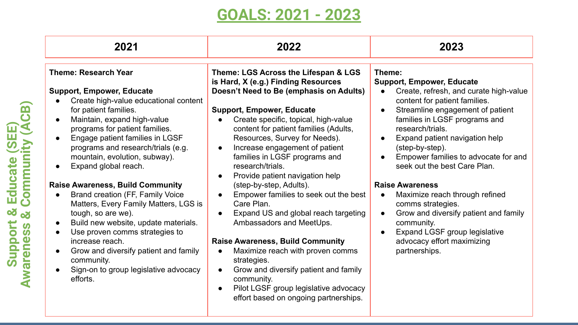#### **GOALS: 2021 - 2023**

| 2021                                                                                                                                                                                                                                                                                                                                                                                                                                                                                                                                                                                                                                                                                                                  | 2022                                                                                                                                                                                                                                                                                                                                                                                                                                                                                                                                                                                                                                                                                                                                                                                                                                                                              | 2023                                                                                                                                                                                                                                                                                                                                                                                                                                                                                                                                                                                                                                                           |
|-----------------------------------------------------------------------------------------------------------------------------------------------------------------------------------------------------------------------------------------------------------------------------------------------------------------------------------------------------------------------------------------------------------------------------------------------------------------------------------------------------------------------------------------------------------------------------------------------------------------------------------------------------------------------------------------------------------------------|-----------------------------------------------------------------------------------------------------------------------------------------------------------------------------------------------------------------------------------------------------------------------------------------------------------------------------------------------------------------------------------------------------------------------------------------------------------------------------------------------------------------------------------------------------------------------------------------------------------------------------------------------------------------------------------------------------------------------------------------------------------------------------------------------------------------------------------------------------------------------------------|----------------------------------------------------------------------------------------------------------------------------------------------------------------------------------------------------------------------------------------------------------------------------------------------------------------------------------------------------------------------------------------------------------------------------------------------------------------------------------------------------------------------------------------------------------------------------------------------------------------------------------------------------------------|
| <b>Theme: Research Year</b><br><b>Support, Empower, Educate</b><br>Create high-value educational content<br>for patient families.<br>Maintain, expand high-value<br>programs for patient families.<br>Engage patient families in LGSF<br>$\bullet$<br>programs and research/trials (e.g.<br>mountain, evolution, subway).<br>Expand global reach.<br><b>Raise Awareness, Build Community</b><br>Brand creation (FF, Family Voice<br>Matters, Every Family Matters, LGS is<br>tough, so are we).<br>Build new website, update materials.<br>Use proven comms strategies to<br>increase reach.<br>Grow and diversify patient and family<br>$\bullet$<br>community.<br>Sign-on to group legislative advocacy<br>efforts. | Theme: LGS Across the Lifespan & LGS<br>is Hard, X (e.g.) Finding Resources<br>Doesn't Need to Be (emphasis on Adults)<br><b>Support, Empower, Educate</b><br>Create specific, topical, high-value<br>content for patient families (Adults,<br>Resources, Survey for Needs).<br>Increase engagement of patient<br>$\bullet$<br>families in LGSF programs and<br>research/trials.<br>Provide patient navigation help<br>$\bullet$<br>(step-by-step, Adults).<br>Empower families to seek out the best<br>Care Plan.<br>Expand US and global reach targeting<br>$\bullet$<br>Ambassadors and MeetUps.<br><b>Raise Awareness, Build Community</b><br>Maximize reach with proven comms<br>$\bullet$<br>strategies.<br>Grow and diversify patient and family<br>$\bullet$<br>community.<br>Pilot LGSF group legislative advocacy<br>$\bullet$<br>effort based on ongoing partnerships. | Theme:<br><b>Support, Empower, Educate</b><br>Create, refresh, and curate high-value<br>$\bullet$<br>content for patient families.<br>Streamline engagement of patient<br>$\bullet$<br>families in LGSF programs and<br>research/trials.<br>Expand patient navigation help<br>$\bullet$<br>(step-by-step).<br>Empower families to advocate for and<br>$\bullet$<br>seek out the best Care Plan.<br><b>Raise Awareness</b><br>Maximize reach through refined<br>$\bullet$<br>comms strategies.<br>Grow and diversify patient and family<br>$\bullet$<br>community.<br>Expand LGSF group legislative<br>$\bullet$<br>advocacy effort maximizing<br>partnerships. |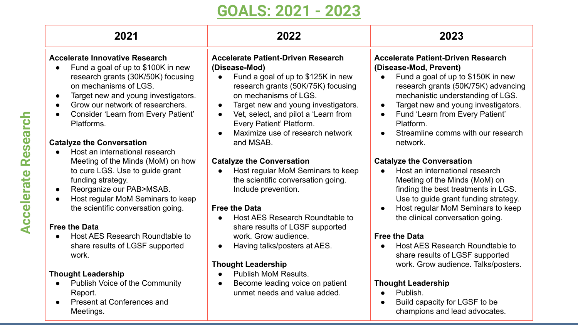#### **GOALS: 2021 - 2023**

| 2021                                                                                                                                                                                                                                                                                                                     | 2022                                                                                                                                                                                                                                                                                                                                     | 2023                                                                                                                                                                                                                                                                                                                                         |
|--------------------------------------------------------------------------------------------------------------------------------------------------------------------------------------------------------------------------------------------------------------------------------------------------------------------------|------------------------------------------------------------------------------------------------------------------------------------------------------------------------------------------------------------------------------------------------------------------------------------------------------------------------------------------|----------------------------------------------------------------------------------------------------------------------------------------------------------------------------------------------------------------------------------------------------------------------------------------------------------------------------------------------|
| <b>Accelerate Innovative Research</b><br>Fund a goal of up to \$100K in new<br>$\bullet$<br>research grants (30K/50K) focusing<br>on mechanisms of LGS.<br>Target new and young investigators.<br>$\bullet$<br>Grow our network of researchers.<br>$\bullet$<br><b>Consider 'Learn from Every Patient'</b><br>Platforms. | <b>Accelerate Patient-Driven Research</b><br>(Disease-Mod)<br>Fund a goal of up to \$125K in new<br>research grants (50K/75K) focusing<br>on mechanisms of LGS.<br>Target new and young investigators.<br>$\bullet$<br>Vet, select, and pilot a 'Learn from<br>$\bullet$<br>Every Patient' Platform.<br>Maximize use of research network | <b>Accelerate Patient-Driven Research</b><br>(Disease-Mod, Prevent)<br>Fund a goal of up to \$150K in new<br>$\bullet$<br>research grants (50K/75K) advancing<br>mechanistic understanding of LGS.<br>Target new and young investigators.<br>Fund 'Learn from Every Patient'<br>$\bullet$<br>Platform.<br>Streamline comms with our research |
| <b>Catalyze the Conversation</b><br>Host an international research<br>Meeting of the Minds (MoM) on how<br>to cure LGS. Use to guide grant<br>funding strategy.<br>Reorganize our PAB>MSAB.<br>$\bullet$<br>Host regular MoM Seminars to keep<br>$\bullet$<br>the scientific conversation going.<br><b>Free the Data</b> | and MSAB.<br><b>Catalyze the Conversation</b><br>Host regular MoM Seminars to keep<br>the scientific conversation going.<br>Include prevention.<br><b>Free the Data</b><br>Host AES Research Roundtable to<br>share results of LGSF supported                                                                                            | network.<br><b>Catalyze the Conversation</b><br>Host an international research<br>$\bullet$<br>Meeting of the Minds (MoM) on<br>finding the best treatments in LGS.<br>Use to guide grant funding strategy.<br>Host regular MoM Seminars to keep<br>the clinical conversation going.                                                         |
| Host AES Research Roundtable to<br>$\bullet$<br>share results of LGSF supported<br>work.                                                                                                                                                                                                                                 | work. Grow audience.<br>Having talks/posters at AES.<br>$\bullet$<br><b>Thought Leadership</b>                                                                                                                                                                                                                                           | <b>Free the Data</b><br>Host AES Research Roundtable to<br>$\bullet$<br>share results of LGSF supported<br>work. Grow audience. Talks/posters.                                                                                                                                                                                               |
| <b>Thought Leadership</b><br><b>Publish Voice of the Community</b><br>$\bullet$<br>Report.<br><b>Present at Conferences and</b><br>Meetings.                                                                                                                                                                             | <b>Publish MoM Results.</b><br>Become leading voice on patient<br>$\bullet$<br>unmet needs and value added.                                                                                                                                                                                                                              | <b>Thought Leadership</b><br>Publish.<br>$\bullet$<br>Build capacity for LGSF to be<br>champions and lead advocates.                                                                                                                                                                                                                         |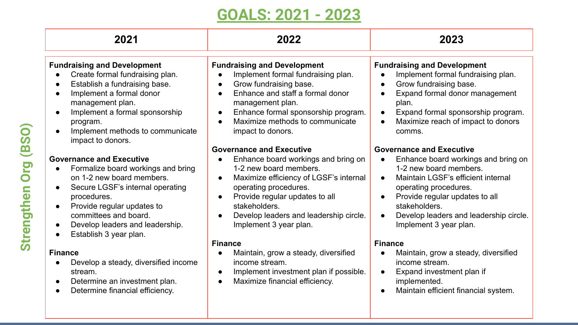#### **GOALS: 2021 - 2023**

| 2021                                                                                                                                                                                                                                                                                    | 2022                                                                                                                                                                                                                                                                                                                                           | 2023                                                                                                                                                                                                                                                                                                                                       |
|-----------------------------------------------------------------------------------------------------------------------------------------------------------------------------------------------------------------------------------------------------------------------------------------|------------------------------------------------------------------------------------------------------------------------------------------------------------------------------------------------------------------------------------------------------------------------------------------------------------------------------------------------|--------------------------------------------------------------------------------------------------------------------------------------------------------------------------------------------------------------------------------------------------------------------------------------------------------------------------------------------|
| <b>Fundraising and Development</b><br>Create formal fundraising plan.<br>Establish a fundraising base.<br>Implement a formal donor<br>$\bullet$<br>management plan.<br>Implement a formal sponsorship<br>$\bullet$<br>program.<br>Implement methods to communicate<br>impact to donors. | <b>Fundraising and Development</b><br>Implement formal fundraising plan.<br>Grow fundraising base.<br>$\bullet$<br>Enhance and staff a formal donor<br>$\bullet$<br>management plan.<br>Enhance formal sponsorship program.<br>$\bullet$<br>Maximize methods to communicate<br>$\bullet$<br>impact to donors.                                  | <b>Fundraising and Development</b><br>Implement formal fundraising plan.<br>$\bullet$<br>Grow fundraising base.<br>$\bullet$<br>Expand formal donor management<br>$\bullet$<br>plan.<br>Expand formal sponsorship program.<br>$\bullet$<br>Maximize reach of impact to donors<br>$\bullet$<br>comms.                                       |
| <b>Governance and Executive</b><br>Formalize board workings and bring<br>on 1-2 new board members.<br>Secure LGSF's internal operating<br>procedures.<br>Provide regular updates to<br>$\bullet$<br>committees and board.<br>Develop leaders and leadership.<br>Establish 3 year plan.  | <b>Governance and Executive</b><br>Enhance board workings and bring on<br>$\bullet$<br>1-2 new board members.<br>Maximize efficiency of LGSF's internal<br>$\bullet$<br>operating procedures.<br>Provide regular updates to all<br>$\bullet$<br>stakeholders.<br>Develop leaders and leadership circle.<br>$\bullet$<br>Implement 3 year plan. | <b>Governance and Executive</b><br>Enhance board workings and bring on<br>$\bullet$<br>1-2 new board members.<br>Maintain LGSF's efficient internal<br>$\bullet$<br>operating procedures.<br>Provide regular updates to all<br>$\bullet$<br>stakeholders.<br>Develop leaders and leadership circle.<br>$\bullet$<br>Implement 3 year plan. |
| <b>Finance</b><br>Develop a steady, diversified income<br>stream.<br>Determine an investment plan.<br>Determine financial efficiency.                                                                                                                                                   | <b>Finance</b><br>Maintain, grow a steady, diversified<br>$\bullet$<br>income stream.<br>Implement investment plan if possible.<br>$\bullet$<br>Maximize financial efficiency.<br>$\bullet$                                                                                                                                                    | <b>Finance</b><br>Maintain, grow a steady, diversified<br>$\bullet$<br>income stream.<br>Expand investment plan if<br>$\bullet$<br>implemented.<br>Maintain efficient financial system.<br>$\bullet$                                                                                                                                       |